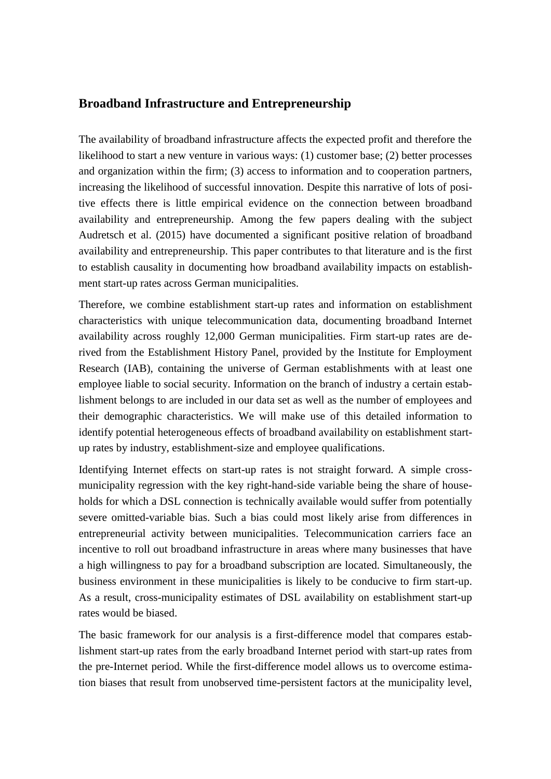## **Broadband Infrastructure and Entrepreneurship**

The availability of broadband infrastructure affects the expected profit and therefore the likelihood to start a new venture in various ways: (1) customer base; (2) better processes and organization within the firm; (3) access to information and to cooperation partners, increasing the likelihood of successful innovation. Despite this narrative of lots of positive effects there is little empirical evidence on the connection between broadband availability and entrepreneurship. Among the few papers dealing with the subject Audretsch et al. (2015) have documented a significant positive relation of broadband availability and entrepreneurship. This paper contributes to that literature and is the first to establish causality in documenting how broadband availability impacts on establishment start-up rates across German municipalities.

Therefore, we combine establishment start-up rates and information on establishment characteristics with unique telecommunication data, documenting broadband Internet availability across roughly 12,000 German municipalities. Firm start-up rates are derived from the Establishment History Panel, provided by the Institute for Employment Research (IAB), containing the universe of German establishments with at least one employee liable to social security. Information on the branch of industry a certain establishment belongs to are included in our data set as well as the number of employees and their demographic characteristics. We will make use of this detailed information to identify potential heterogeneous effects of broadband availability on establishment startup rates by industry, establishment-size and employee qualifications.

Identifying Internet effects on start-up rates is not straight forward. A simple crossmunicipality regression with the key right-hand-side variable being the share of households for which a DSL connection is technically available would suffer from potentially severe omitted-variable bias. Such a bias could most likely arise from differences in entrepreneurial activity between municipalities. Telecommunication carriers face an incentive to roll out broadband infrastructure in areas where many businesses that have a high willingness to pay for a broadband subscription are located. Simultaneously, the business environment in these municipalities is likely to be conducive to firm start-up. As a result, cross-municipality estimates of DSL availability on establishment start-up rates would be biased.

The basic framework for our analysis is a first-difference model that compares establishment start-up rates from the early broadband Internet period with start-up rates from the pre-Internet period. While the first-difference model allows us to overcome estimation biases that result from unobserved time-persistent factors at the municipality level,